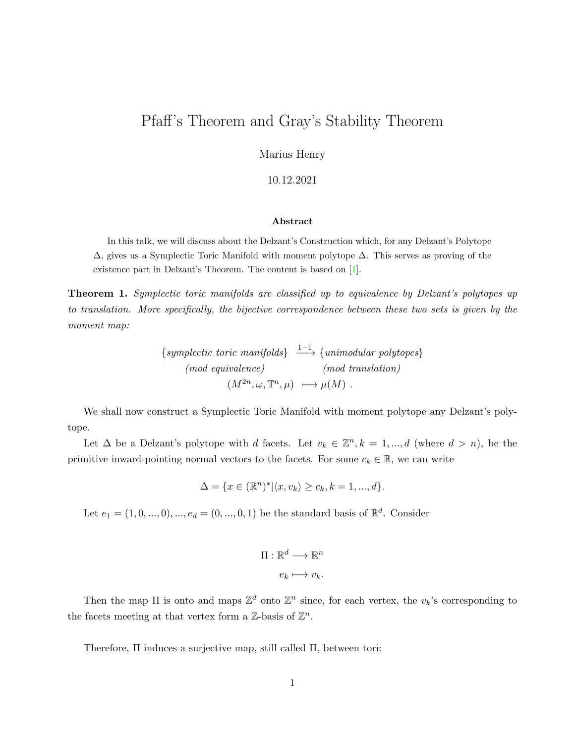## Pfaff's Theorem and Gray's Stability Theorem

Marius Henry

10.12.2021

## Abstract

In this talk, we will discuss about the Delzant's Construction which, for any Delzant's Polytope ∆, gives us a Symplectic Toric Manifold with moment polytope ∆. This serves as proving of the existence part in Delzant's Theorem. The content is based on [\[1\]](#page-5-0).

Theorem 1. Symplectic toric manifolds are classified up to equivalence by Delzant's polytopes up to translation. More specifically, the bijective correspondence between these two sets is given by the moment map:

> ${symplectic\ toric\ manifolds} \xrightarrow{1-1} {unimodular\ polytopes}$ (mod equivalence) (mod translation)  $(M^{2n}, \omega, \mathbb{T}^n, \mu) \longrightarrow \mu(M)$ .

We shall now construct a Symplectic Toric Manifold with moment polytope any Delzant's polytope.

Let  $\Delta$  be a Delzant's polytope with d facets. Let  $v_k \in \mathbb{Z}^n, k = 1, ..., d$  (where  $d > n$ ), be the primitive inward-pointing normal vectors to the facets. For some  $c_k \in \mathbb{R}$ , we can write

$$
\Delta = \{x \in (\mathbb{R}^n)^* | \langle x, v_k \rangle \ge c_k, k = 1, ..., d\}.
$$

Let  $e_1 = (1, 0, ..., 0), ..., e_d = (0, ..., 0, 1)$  be the standard basis of  $\mathbb{R}^d$ . Consider

$$
\Pi: \mathbb{R}^d \longrightarrow \mathbb{R}^n
$$

$$
e_k \longmapsto v_k.
$$

Then the map  $\Pi$  is onto and maps  $\mathbb{Z}^d$  onto  $\mathbb{Z}^n$  since, for each vertex, the  $v_k$ 's corresponding to the facets meeting at that vertex form a  $\mathbb{Z}$ -basis of  $\mathbb{Z}^n$ .

Therefore, Π induces a surjective map, still called Π, between tori: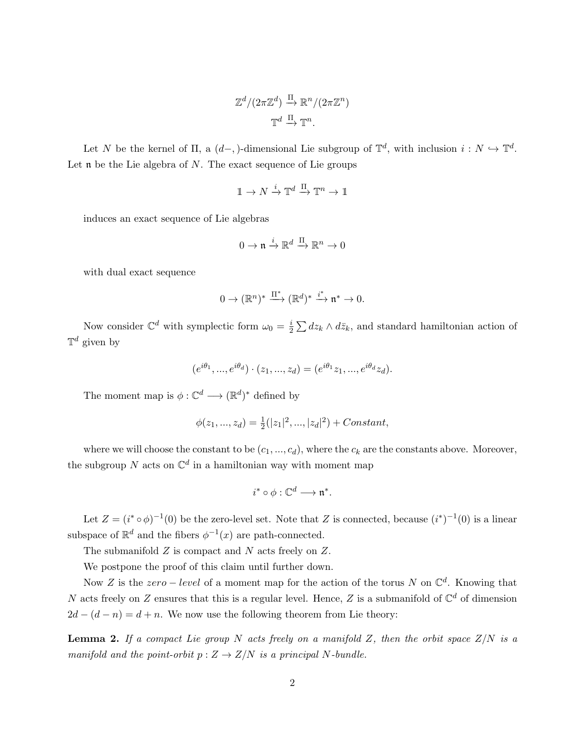$$
\mathbb{Z}^d/(2\pi\mathbb{Z}^d) \xrightarrow{\Pi} \mathbb{R}^n/(2\pi\mathbb{Z}^n)
$$

$$
\mathbb{T}^d \xrightarrow{\Pi} \mathbb{T}^n.
$$

Let N be the kernel of  $\Pi$ , a  $(d-$ ,  $)$ -dimensional Lie subgroup of  $\mathbb{T}^d$ , with inclusion  $i: N \hookrightarrow \mathbb{T}^d$ . Let  $\mathfrak n$  be the Lie algebra of N. The exact sequence of Lie groups

$$
\mathbb{1} \to N \xrightarrow{i} \mathbb{T}^d \xrightarrow{\Pi} \mathbb{T}^n \to \mathbb{1}
$$

induces an exact sequence of Lie algebras

$$
0\to \mathfrak{n}\stackrel{i}{\to}\mathbb{R}^d\stackrel{\Pi}{\to}\mathbb{R}^n\to 0
$$

with dual exact sequence

$$
0 \to (\mathbb{R}^n)^* \xrightarrow{\Pi^*} (\mathbb{R}^d)^* \xrightarrow{i^*} \mathfrak{n}^* \to 0.
$$

Now consider  $\mathbb{C}^d$  with symplectic form  $\omega_0 = \frac{i}{2}$  $\frac{i}{2} \sum dz_k \wedge d\bar{z}_k$ , and standard hamiltonian action of  $\mathbb{T}^d$  given by

$$
(e^{i\theta_1},...,e^{i\theta_d})\cdot (z_1,...,z_d)=(e^{i\theta_1}z_1,...,e^{i\theta_d}z_d).
$$

The moment map is  $\phi: \mathbb{C}^d \longrightarrow (\mathbb{R}^d)^*$  defined by

$$
\phi(z_1, ..., z_d) = \frac{1}{2}(|z_1|^2, ..., |z_d|^2) + Constant,
$$

where we will choose the constant to be  $(c_1, ..., c_d)$ , where the  $c_k$  are the constants above. Moreover, the subgroup N acts on  $\mathbb{C}^d$  in a hamiltonian way with moment map

$$
i^*\circ\phi:\mathbb{C}^d\longrightarrow\mathfrak{n}^*.
$$

Let  $Z = (i^* \circ \phi)^{-1}(0)$  be the zero-level set. Note that Z is connected, because  $(i^*)^{-1}(0)$  is a linear subspace of  $\mathbb{R}^d$  and the fibers  $\phi^{-1}(x)$  are path-connected.

The submanifold Z is compact and N acts freely on Z.

We postpone the proof of this claim until further down.

Now Z is the  $zero-level$  of a moment map for the action of the torus N on  $\mathbb{C}^d$ . Knowing that N acts freely on Z ensures that this is a regular level. Hence, Z is a submanifold of  $\mathbb{C}^d$  of dimension  $2d - (d - n) = d + n$ . We now use the following theorem from Lie theory:

**Lemma 2.** If a compact Lie group N acts freely on a manifold Z, then the orbit space  $Z/N$  is a manifold and the point-orbit  $p: Z \to Z/N$  is a principal N-bundle.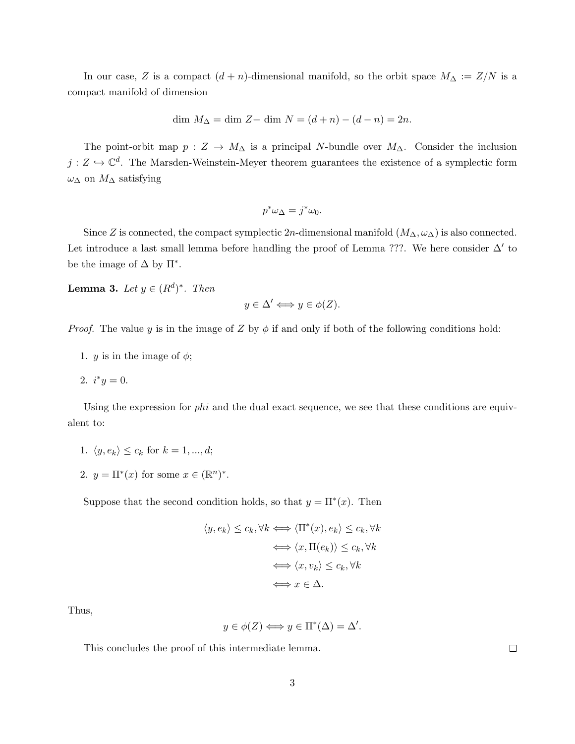In our case, Z is a compact  $(d + n)$ -dimensional manifold, so the orbit space  $M_{\Delta} := Z/N$  is a compact manifold of dimension

$$
\dim M_{\Delta} = \dim Z - \dim N = (d + n) - (d - n) = 2n.
$$

The point-orbit map  $p: Z \to M_{\Delta}$  is a principal N-bundle over  $M_{\Delta}$ . Consider the inclusion  $j: Z \hookrightarrow \mathbb{C}^d$ . The Marsden-Weinstein-Meyer theorem guarantees the existence of a symplectic form  $\omega_{\Delta}$  on  $M_{\Delta}$  satisfying

$$
p^*\omega_\Delta = j^*\omega_0.
$$

Since Z is connected, the compact symplectic  $2n$ -dimensional manifold  $(M_\Delta,\omega_\Delta)$  is also connected. Let introduce a last small lemma before handling the proof of Lemma ???. We here consider  $\Delta'$  to be the image of  $\Delta$  by  $\Pi^*$ .

**Lemma 3.** Let  $y \in (R^d)^*$ . Then

$$
y \in \Delta' \Longleftrightarrow y \in \phi(Z).
$$

*Proof.* The value y is in the image of Z by  $\phi$  if and only if both of the following conditions hold:

- 1. *y* is in the image of  $\phi$ ;
- 2.  $i^*y = 0$ .

Using the expression for  $phi$  and the dual exact sequence, we see that these conditions are equivalent to:

- 1.  $\langle y, e_k \rangle \leq c_k$  for  $k = 1, ..., d;$
- 2.  $y = \Pi^*(x)$  for some  $x \in (\mathbb{R}^n)^*$ .

Suppose that the second condition holds, so that  $y = \Pi^*(x)$ . Then

$$
\langle y, e_k \rangle \leq c_k, \forall k \iff \langle \Pi^*(x), e_k \rangle \leq c_k, \forall k
$$
  

$$
\iff \langle x, \Pi(e_k) \rangle \leq c_k, \forall k
$$
  

$$
\iff \langle x, v_k \rangle \leq c_k, \forall k
$$
  

$$
\iff x \in \Delta.
$$

Thus,

$$
y \in \phi(Z) \Longleftrightarrow y \in \Pi^*(\Delta) = \Delta'.
$$

This concludes the proof of this intermediate lemma.

 $\Box$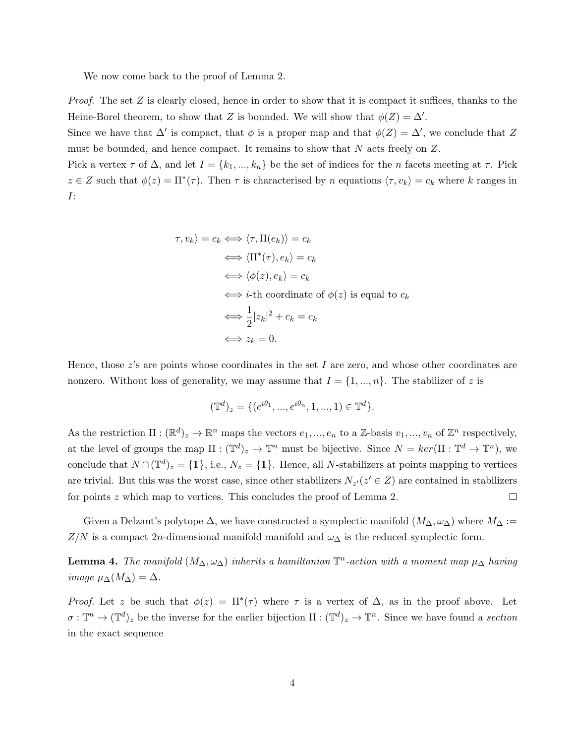We now come back to the proof of Lemma 2.

*Proof.* The set Z is clearly closed, hence in order to show that it is compact it suffices, thanks to the Heine-Borel theorem, to show that Z is bounded. We will show that  $\phi(Z) = \Delta'$ .

Since we have that  $\Delta'$  is compact, that  $\phi$  is a proper map and that  $\phi(Z) = \Delta'$ , we conclude that Z must be bounded, and hence compact. It remains to show that N acts freely on Z.

Pick a vertex  $\tau$  of  $\Delta$ , and let  $I = \{k_1, ..., k_n\}$  be the set of indices for the n facets meeting at  $\tau$ . Pick  $z \in Z$  such that  $\phi(z) = \Pi^*(\tau)$ . Then  $\tau$  is characterised by n equations  $\langle \tau, v_k \rangle = c_k$  where k ranges in I:

$$
\langle \tau, v_k \rangle = c_k \iff \langle \tau, \Pi(e_k) \rangle = c_k
$$
  
\n
$$
\iff \langle \Pi^*(\tau), e_k \rangle = c_k
$$
  
\n
$$
\iff \langle \phi(z), e_k \rangle = c_k
$$
  
\n
$$
\iff i\text{-th coordinate of } \phi(z) \text{ is equal to } c_k
$$
  
\n
$$
\iff \frac{1}{2}|z_k|^2 + c_k = c_k
$$
  
\n
$$
\iff z_k = 0.
$$

Hence, those  $z$ 's are points whose coordinates in the set I are zero, and whose other coordinates are nonzero. Without loss of generality, we may assume that  $I = \{1, ..., n\}$ . The stabilizer of z is

$$
(\mathbb{T}^d)_z = \{ (e^{i\theta_1}, ..., e^{i\theta_n}, 1, ..., 1) \in \mathbb{T}^d \}.
$$

As the restriction  $\Pi : (\mathbb{R}^d)_z \to \mathbb{R}^n$  maps the vectors  $e_1, ..., e_n$  to a Z-basis  $v_1, ..., v_n$  of  $\mathbb{Z}^n$  respectively, at the level of groups the map  $\Pi : (\mathbb{T}^d)_z \to \mathbb{T}^n$  must be bijective. Since  $N = \ker(\Pi : \mathbb{T}^d \to \mathbb{T}^n)$ , we conclude that  $N \cap (\mathbb{T}^d)_z = \{\mathbb{1}\},\$ i.e.,  $N_z = \{\mathbb{1}\}.$  Hence, all N-stabilizers at points mapping to vertices are trivial. But this was the worst case, since other stabilizers  $N_{z'}(z' \in Z)$  are contained in stabilizers for points z which map to vertices. This concludes the proof of Lemma 2.  $\Box$ 

Given a Delzant's polytope  $\Delta$ , we have constructed a symplectic manifold  $(M_{\Delta}, \omega_{\Delta})$  where  $M_{\Delta} :=$  $Z/N$  is a compact 2n-dimensional manifold manifold and  $\omega_{\Delta}$  is the reduced symplectic form.

**Lemma 4.** The manifold  $(M_{\Delta}, \omega_{\Delta})$  inherits a hamiltonian  $\mathbb{T}^n$ -action with a moment map  $\mu_{\Delta}$  having image  $\mu_{\Delta}(M_{\Delta}) = \Delta$ .

*Proof.* Let z be such that  $\phi(z) = \Pi^*(\tau)$  where  $\tau$  is a vertex of  $\Delta$ , as in the proof above. Let  $\sigma: \mathbb{T}^n \to (\mathbb{T}^d)_z$  be the inverse for the earlier bijection  $\Pi: (\mathbb{T}^d)_z \to \mathbb{T}^n$ . Since we have found a section in the exact sequence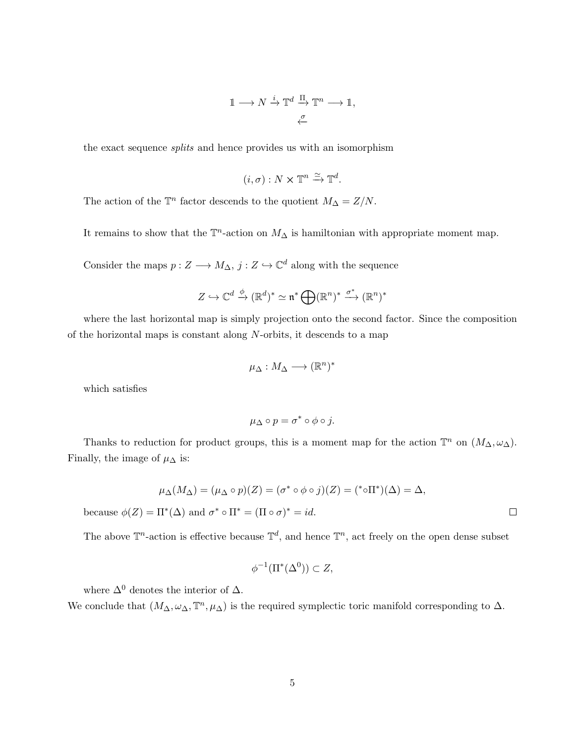$$
\mathbb{1} \longrightarrow N \xrightarrow{i} \mathbb{T}^d \xrightarrow{\Pi} \mathbb{T}^n \longrightarrow \mathbb{1},
$$

the exact sequence splits and hence provides us with an isomorphism

$$
(i, \sigma) : N \times \mathbb{T}^n \xrightarrow{\simeq} \mathbb{T}^d.
$$

The action of the  $\mathbb{T}^n$  factor descends to the quotient  $M_{\Delta} = Z/N$ .

It remains to show that the  $\mathbb{T}^n$ -action on  $M_\Delta$  is hamiltonian with appropriate moment map.

Consider the maps  $p: Z \longrightarrow M_{\Delta}, j: Z \hookrightarrow \mathbb{C}^d$  along with the sequence

$$
Z \hookrightarrow \mathbb{C}^d \xrightarrow{\phi} (\mathbb{R}^d)^* \simeq \mathfrak{n}^* \bigoplus (\mathbb{R}^n)^* \xrightarrow{\sigma^*} (\mathbb{R}^n)^*
$$

where the last horizontal map is simply projection onto the second factor. Since the composition of the horizontal maps is constant along  $N$ -orbits, it descends to a map

$$
\mu_{\Delta}: M_{\Delta} \longrightarrow (\mathbb{R}^n)^*
$$

which satisfies

$$
\mu_{\Delta}\circ p=\sigma^*\circ\phi\circ j.
$$

Thanks to reduction for product groups, this is a moment map for the action  $\mathbb{T}^n$  on  $(M_\Delta, \omega_\Delta)$ . Finally, the image of  $\mu_{\Delta}$  is:

$$
\mu_{\Delta}(M_{\Delta}) = (\mu_{\Delta} \circ p)(Z) = (\sigma^* \circ \phi \circ j)(Z) = (^* \circ \Pi^*)(\Delta) = \Delta,
$$

because  $\phi(Z) = \Pi^*(\Delta)$  and  $\sigma^* \circ \Pi^* = (\Pi \circ \sigma)^* = id$ .

The above  $\mathbb{T}^n$ -action is effective because  $\mathbb{T}^d$ , and hence  $\mathbb{T}^n$ , act freely on the open dense subset

$$
\phi^{-1}(\Pi^*(\Delta^0)) \subset Z,
$$

where  $\Delta^0$  denotes the interior of  $\Delta$ .

We conclude that  $(M_{\Delta}, \omega_{\Delta}, \mathbb{T}^n, \mu_{\Delta})$  is the required symplectic toric manifold corresponding to  $\Delta$ .